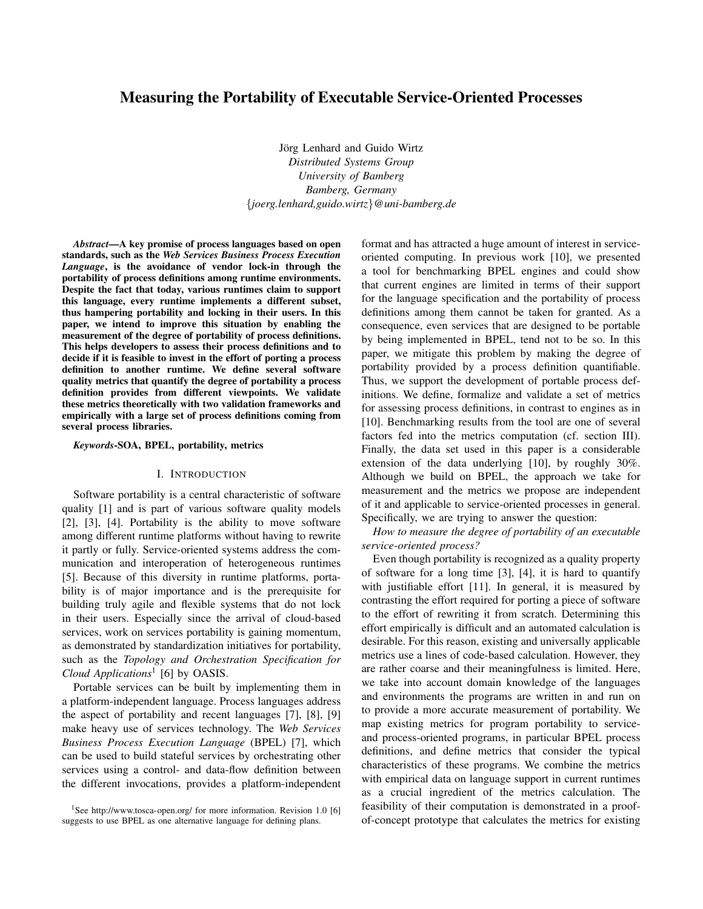# Measuring the Portability of Executable Service-Oriented Processes

Jörg Lenhard and Guido Wirtz *Distributed Systems Group University of Bamberg Bamberg, Germany* {*joerg.lenhard,guido.wirtz*}*@uni-bamberg.de*

*Abstract*—A key promise of process languages based on open standards, such as the *Web Services Business Process Execution Language*, is the avoidance of vendor lock-in through the portability of process definitions among runtime environments. Despite the fact that today, various runtimes claim to support this language, every runtime implements a different subset, thus hampering portability and locking in their users. In this paper, we intend to improve this situation by enabling the measurement of the degree of portability of process definitions. This helps developers to assess their process definitions and to decide if it is feasible to invest in the effort of porting a process definition to another runtime. We define several software quality metrics that quantify the degree of portability a process definition provides from different viewpoints. We validate these metrics theoretically with two validation frameworks and empirically with a large set of process definitions coming from several process libraries.

## *Keywords*-SOA, BPEL, portability, metrics

#### I. INTRODUCTION

Software portability is a central characteristic of software quality [1] and is part of various software quality models [2], [3], [4]. Portability is the ability to move software among different runtime platforms without having to rewrite it partly or fully. Service-oriented systems address the communication and interoperation of heterogeneous runtimes [5]. Because of this diversity in runtime platforms, portability is of major importance and is the prerequisite for building truly agile and flexible systems that do not lock in their users. Especially since the arrival of cloud-based services, work on services portability is gaining momentum, as demonstrated by standardization initiatives for portability, such as the *Topology and Orchestration Specification for Cloud Applications*<sup>1</sup> [6] by OASIS.

Portable services can be built by implementing them in a platform-independent language. Process languages address the aspect of portability and recent languages [7], [8], [9] make heavy use of services technology. The *Web Services Business Process Execution Language* (BPEL) [7], which can be used to build stateful services by orchestrating other services using a control- and data-flow definition between the different invocations, provides a platform-independent format and has attracted a huge amount of interest in serviceoriented computing. In previous work [10], we presented a tool for benchmarking BPEL engines and could show that current engines are limited in terms of their support for the language specification and the portability of process definitions among them cannot be taken for granted. As a consequence, even services that are designed to be portable by being implemented in BPEL, tend not to be so. In this paper, we mitigate this problem by making the degree of portability provided by a process definition quantifiable. Thus, we support the development of portable process definitions. We define, formalize and validate a set of metrics for assessing process definitions, in contrast to engines as in [10]. Benchmarking results from the tool are one of several factors fed into the metrics computation (cf. section III). Finally, the data set used in this paper is a considerable extension of the data underlying [10], by roughly 30%. Although we build on BPEL, the approach we take for measurement and the metrics we propose are independent of it and applicable to service-oriented processes in general. Specifically, we are trying to answer the question:

*How to measure the degree of portability of an executable service-oriented process?*

Even though portability is recognized as a quality property of software for a long time [3], [4], it is hard to quantify with justifiable effort [11]. In general, it is measured by contrasting the effort required for porting a piece of software to the effort of rewriting it from scratch. Determining this effort empirically is difficult and an automated calculation is desirable. For this reason, existing and universally applicable metrics use a lines of code-based calculation. However, they are rather coarse and their meaningfulness is limited. Here, we take into account domain knowledge of the languages and environments the programs are written in and run on to provide a more accurate measurement of portability. We map existing metrics for program portability to serviceand process-oriented programs, in particular BPEL process definitions, and define metrics that consider the typical characteristics of these programs. We combine the metrics with empirical data on language support in current runtimes as a crucial ingredient of the metrics calculation. The feasibility of their computation is demonstrated in a proofof-concept prototype that calculates the metrics for existing

<sup>&</sup>lt;sup>1</sup>See http://www.tosca-open.org/ for more information. Revision 1.0 [6] suggests to use BPEL as one alternative language for defining plans.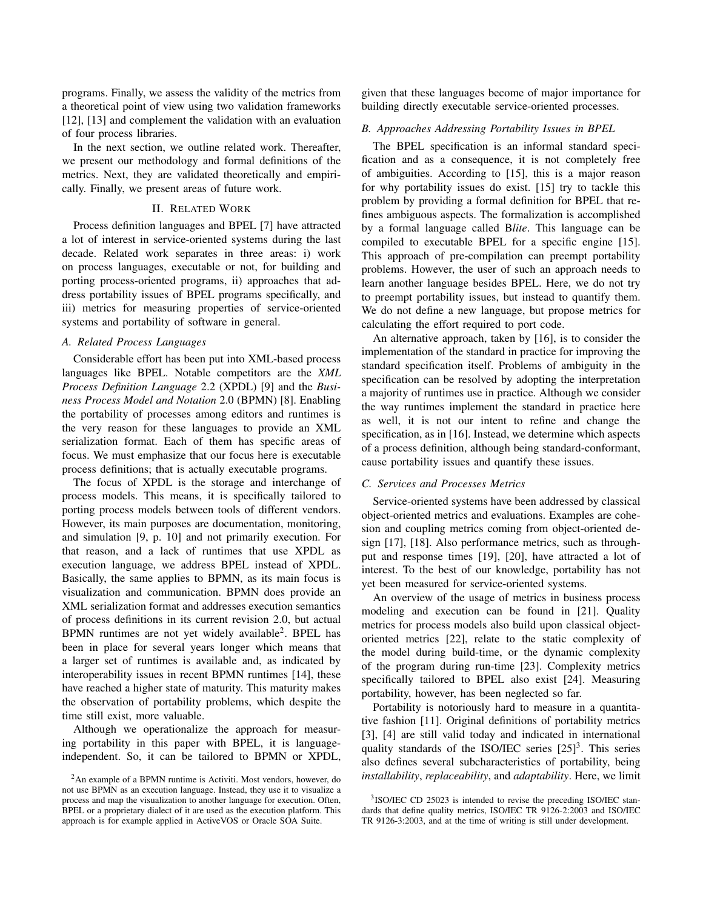programs. Finally, we assess the validity of the metrics from a theoretical point of view using two validation frameworks [12], [13] and complement the validation with an evaluation of four process libraries.

In the next section, we outline related work. Thereafter, we present our methodology and formal definitions of the metrics. Next, they are validated theoretically and empirically. Finally, we present areas of future work.

# II. RELATED WORK

Process definition languages and BPEL [7] have attracted a lot of interest in service-oriented systems during the last decade. Related work separates in three areas: i) work on process languages, executable or not, for building and porting process-oriented programs, ii) approaches that address portability issues of BPEL programs specifically, and iii) metrics for measuring properties of service-oriented systems and portability of software in general.

# *A. Related Process Languages*

Considerable effort has been put into XML-based process languages like BPEL. Notable competitors are the *XML Process Definition Language* 2.2 (XPDL) [9] and the *Business Process Model and Notation* 2.0 (BPMN) [8]. Enabling the portability of processes among editors and runtimes is the very reason for these languages to provide an XML serialization format. Each of them has specific areas of focus. We must emphasize that our focus here is executable process definitions; that is actually executable programs.

The focus of XPDL is the storage and interchange of process models. This means, it is specifically tailored to porting process models between tools of different vendors. However, its main purposes are documentation, monitoring, and simulation [9, p. 10] and not primarily execution. For that reason, and a lack of runtimes that use XPDL as execution language, we address BPEL instead of XPDL. Basically, the same applies to BPMN, as its main focus is visualization and communication. BPMN does provide an XML serialization format and addresses execution semantics of process definitions in its current revision 2.0, but actual BPMN runtimes are not yet widely available<sup>2</sup> . BPEL has been in place for several years longer which means that a larger set of runtimes is available and, as indicated by interoperability issues in recent BPMN runtimes [14], these have reached a higher state of maturity. This maturity makes the observation of portability problems, which despite the time still exist, more valuable.

Although we operationalize the approach for measuring portability in this paper with BPEL, it is languageindependent. So, it can be tailored to BPMN or XPDL, given that these languages become of major importance for building directly executable service-oriented processes.

## *B. Approaches Addressing Portability Issues in BPEL*

The BPEL specification is an informal standard specification and as a consequence, it is not completely free of ambiguities. According to [15], this is a major reason for why portability issues do exist. [15] try to tackle this problem by providing a formal definition for BPEL that refines ambiguous aspects. The formalization is accomplished by a formal language called B*lite*. This language can be compiled to executable BPEL for a specific engine [15]. This approach of pre-compilation can preempt portability problems. However, the user of such an approach needs to learn another language besides BPEL. Here, we do not try to preempt portability issues, but instead to quantify them. We do not define a new language, but propose metrics for calculating the effort required to port code.

An alternative approach, taken by [16], is to consider the implementation of the standard in practice for improving the standard specification itself. Problems of ambiguity in the specification can be resolved by adopting the interpretation a majority of runtimes use in practice. Although we consider the way runtimes implement the standard in practice here as well, it is not our intent to refine and change the specification, as in [16]. Instead, we determine which aspects of a process definition, although being standard-conformant, cause portability issues and quantify these issues.

#### *C. Services and Processes Metrics*

Service-oriented systems have been addressed by classical object-oriented metrics and evaluations. Examples are cohesion and coupling metrics coming from object-oriented design [17], [18]. Also performance metrics, such as throughput and response times [19], [20], have attracted a lot of interest. To the best of our knowledge, portability has not yet been measured for service-oriented systems.

An overview of the usage of metrics in business process modeling and execution can be found in [21]. Quality metrics for process models also build upon classical objectoriented metrics [22], relate to the static complexity of the model during build-time, or the dynamic complexity of the program during run-time [23]. Complexity metrics specifically tailored to BPEL also exist [24]. Measuring portability, however, has been neglected so far.

Portability is notoriously hard to measure in a quantitative fashion [11]. Original definitions of portability metrics [3], [4] are still valid today and indicated in international quality standards of the ISO/IEC series  $[25]$ <sup>3</sup>. This series also defines several subcharacteristics of portability, being *installability*, *replaceability*, and *adaptability*. Here, we limit

<sup>2</sup>An example of a BPMN runtime is Activiti. Most vendors, however, do not use BPMN as an execution language. Instead, they use it to visualize a process and map the visualization to another language for execution. Often, BPEL or a proprietary dialect of it are used as the execution platform. This approach is for example applied in ActiveVOS or Oracle SOA Suite.

<sup>&</sup>lt;sup>3</sup>ISO/IEC CD 25023 is intended to revise the preceding ISO/IEC standards that define quality metrics, ISO/IEC TR 9126-2:2003 and ISO/IEC TR 9126-3:2003, and at the time of writing is still under development.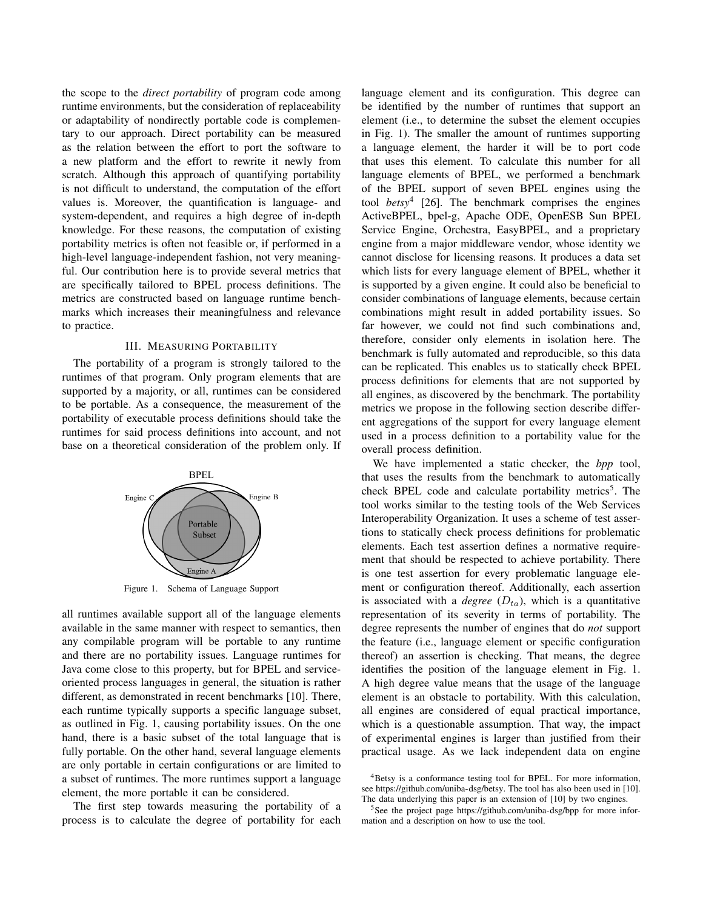the scope to the *direct portability* of program code among runtime environments, but the consideration of replaceability or adaptability of nondirectly portable code is complementary to our approach. Direct portability can be measured as the relation between the effort to port the software to a new platform and the effort to rewrite it newly from scratch. Although this approach of quantifying portability is not difficult to understand, the computation of the effort values is. Moreover, the quantification is language- and system-dependent, and requires a high degree of in-depth knowledge. For these reasons, the computation of existing portability metrics is often not feasible or, if performed in a high-level language-independent fashion, not very meaningful. Our contribution here is to provide several metrics that are specifically tailored to BPEL process definitions. The metrics are constructed based on language runtime benchmarks which increases their meaningfulness and relevance to practice.

# III. MEASURING PORTABILITY

The portability of a program is strongly tailored to the runtimes of that program. Only program elements that are supported by a majority, or all, runtimes can be considered to be portable. As a consequence, the measurement of the portability of executable process definitions should take the runtimes for said process definitions into account, and not base on a theoretical consideration of the problem only. If



Figure 1. Schema of Language Support

all runtimes available support all of the language elements available in the same manner with respect to semantics, then any compilable program will be portable to any runtime and there are no portability issues. Language runtimes for Java come close to this property, but for BPEL and serviceoriented process languages in general, the situation is rather different, as demonstrated in recent benchmarks [10]. There, each runtime typically supports a specific language subset, as outlined in Fig. 1, causing portability issues. On the one hand, there is a basic subset of the total language that is fully portable. On the other hand, several language elements are only portable in certain configurations or are limited to a subset of runtimes. The more runtimes support a language element, the more portable it can be considered.

The first step towards measuring the portability of a process is to calculate the degree of portability for each language element and its configuration. This degree can be identified by the number of runtimes that support an element (i.e., to determine the subset the element occupies in Fig. 1). The smaller the amount of runtimes supporting a language element, the harder it will be to port code that uses this element. To calculate this number for all language elements of BPEL, we performed a benchmark of the BPEL support of seven BPEL engines using the tool *betsy*<sup>4</sup> [26]. The benchmark comprises the engines ActiveBPEL, bpel-g, Apache ODE, OpenESB Sun BPEL Service Engine, Orchestra, EasyBPEL, and a proprietary engine from a major middleware vendor, whose identity we cannot disclose for licensing reasons. It produces a data set which lists for every language element of BPEL, whether it is supported by a given engine. It could also be beneficial to consider combinations of language elements, because certain combinations might result in added portability issues. So far however, we could not find such combinations and, therefore, consider only elements in isolation here. The benchmark is fully automated and reproducible, so this data can be replicated. This enables us to statically check BPEL process definitions for elements that are not supported by all engines, as discovered by the benchmark. The portability metrics we propose in the following section describe different aggregations of the support for every language element used in a process definition to a portability value for the overall process definition.

We have implemented a static checker, the *bpp* tool, that uses the results from the benchmark to automatically check BPEL code and calculate portability metrics<sup>5</sup>. The tool works similar to the testing tools of the Web Services Interoperability Organization. It uses a scheme of test assertions to statically check process definitions for problematic elements. Each test assertion defines a normative requirement that should be respected to achieve portability. There is one test assertion for every problematic language element or configuration thereof. Additionally, each assertion is associated with a *degree*  $(D<sub>ta</sub>)$ , which is a quantitative representation of its severity in terms of portability. The degree represents the number of engines that do *not* support the feature (i.e., language element or specific configuration thereof) an assertion is checking. That means, the degree identifies the position of the language element in Fig. 1. A high degree value means that the usage of the language element is an obstacle to portability. With this calculation, all engines are considered of equal practical importance, which is a questionable assumption. That way, the impact of experimental engines is larger than justified from their practical usage. As we lack independent data on engine

<sup>4</sup>Betsy is a conformance testing tool for BPEL. For more information, see https://github.com/uniba-dsg/betsy. The tool has also been used in [10]. The data underlying this paper is an extension of [10] by two engines.

<sup>&</sup>lt;sup>5</sup>See the project page https://github.com/uniba-dsg/bpp for more information and a description on how to use the tool.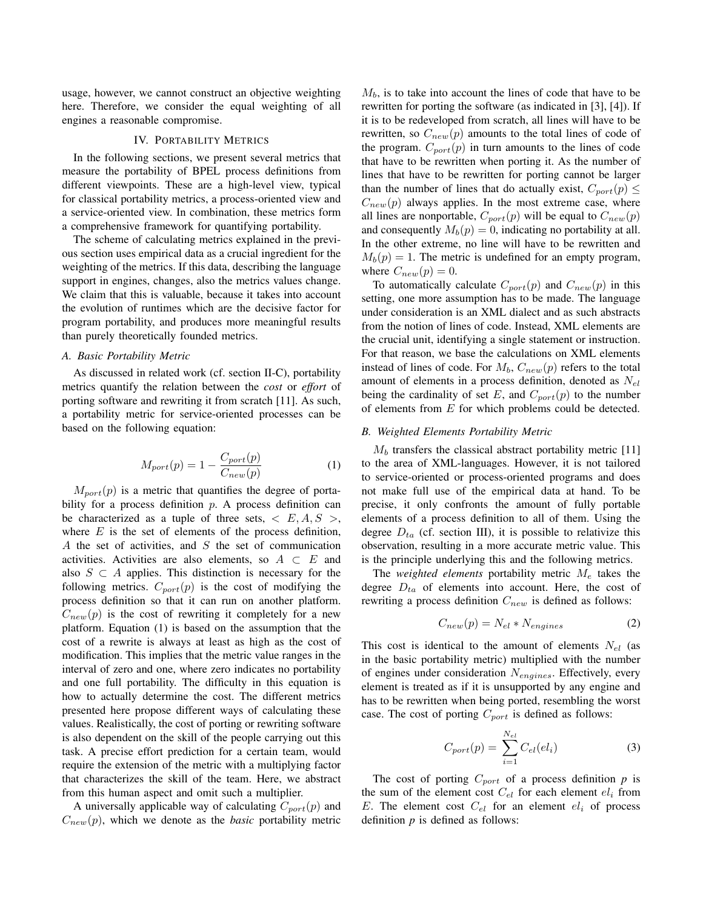usage, however, we cannot construct an objective weighting here. Therefore, we consider the equal weighting of all engines a reasonable compromise.

# IV. PORTABILITY METRICS

In the following sections, we present several metrics that measure the portability of BPEL process definitions from different viewpoints. These are a high-level view, typical for classical portability metrics, a process-oriented view and a service-oriented view. In combination, these metrics form a comprehensive framework for quantifying portability.

The scheme of calculating metrics explained in the previous section uses empirical data as a crucial ingredient for the weighting of the metrics. If this data, describing the language support in engines, changes, also the metrics values change. We claim that this is valuable, because it takes into account the evolution of runtimes which are the decisive factor for program portability, and produces more meaningful results than purely theoretically founded metrics.

### *A. Basic Portability Metric*

As discussed in related work (cf. section II-C), portability metrics quantify the relation between the *cost* or *effort* of porting software and rewriting it from scratch [11]. As such, a portability metric for service-oriented processes can be based on the following equation:

$$
M_{port}(p) = 1 - \frac{C_{port}(p)}{C_{new}(p)}
$$
(1)

 $M_{port}(p)$  is a metric that quantifies the degree of portability for a process definition  $p$ . A process definition can be characterized as a tuple of three sets,  $\langle E, A, S \rangle$ , where  $E$  is the set of elements of the process definition, A the set of activities, and S the set of communication activities. Activities are also elements, so  $A \subset E$  and also  $S \subset A$  applies. This distinction is necessary for the following metrics.  $C_{port}(p)$  is the cost of modifying the process definition so that it can run on another platform.  $C_{new}(p)$  is the cost of rewriting it completely for a new platform. Equation (1) is based on the assumption that the cost of a rewrite is always at least as high as the cost of modification. This implies that the metric value ranges in the interval of zero and one, where zero indicates no portability and one full portability. The difficulty in this equation is how to actually determine the cost. The different metrics presented here propose different ways of calculating these values. Realistically, the cost of porting or rewriting software is also dependent on the skill of the people carrying out this task. A precise effort prediction for a certain team, would require the extension of the metric with a multiplying factor that characterizes the skill of the team. Here, we abstract from this human aspect and omit such a multiplier.

A universally applicable way of calculating  $C_{port}(p)$  and  $C_{new}(p)$ , which we denote as the *basic* portability metric  $M_b$ , is to take into account the lines of code that have to be rewritten for porting the software (as indicated in [3], [4]). If it is to be redeveloped from scratch, all lines will have to be rewritten, so  $C_{new}(p)$  amounts to the total lines of code of the program.  $C_{port}(p)$  in turn amounts to the lines of code that have to be rewritten when porting it. As the number of lines that have to be rewritten for porting cannot be larger than the number of lines that do actually exist,  $C_{port}(p) \leq$  $C_{new}(p)$  always applies. In the most extreme case, where all lines are nonportable,  $C_{port}(p)$  will be equal to  $C_{new}(p)$ and consequently  $M_b(p) = 0$ , indicating no portability at all. In the other extreme, no line will have to be rewritten and  $M_b(p) = 1$ . The metric is undefined for an empty program, where  $C_{new}(p) = 0$ .

To automatically calculate  $C_{port}(p)$  and  $C_{new}(p)$  in this setting, one more assumption has to be made. The language under consideration is an XML dialect and as such abstracts from the notion of lines of code. Instead, XML elements are the crucial unit, identifying a single statement or instruction. For that reason, we base the calculations on XML elements instead of lines of code. For  $M_b$ ,  $C_{new}(p)$  refers to the total amount of elements in a process definition, denoted as  $N_{el}$ being the cardinality of set E, and  $C_{port}(p)$  to the number of elements from E for which problems could be detected.

#### *B. Weighted Elements Portability Metric*

 $M<sub>b</sub>$  transfers the classical abstract portability metric [11] to the area of XML-languages. However, it is not tailored to service-oriented or process-oriented programs and does not make full use of the empirical data at hand. To be precise, it only confronts the amount of fully portable elements of a process definition to all of them. Using the degree  $D_{ta}$  (cf. section III), it is possible to relativize this observation, resulting in a more accurate metric value. This is the principle underlying this and the following metrics.

The *weighted elements* portability metric  $M_e$  takes the degree  $D_{ta}$  of elements into account. Here, the cost of rewriting a process definition  $C_{new}$  is defined as follows:

$$
C_{new}(p) = N_{el} * N_{engines}
$$
 (2)

This cost is identical to the amount of elements  $N_{el}$  (as in the basic portability metric) multiplied with the number of engines under consideration  $N_{engines}$ . Effectively, every element is treated as if it is unsupported by any engine and has to be rewritten when being ported, resembling the worst case. The cost of porting  $C_{port}$  is defined as follows:

$$
C_{port}(p) = \sum_{i=1}^{N_{el}} C_{el}(el_i)
$$
\n(3)

The cost of porting  $C_{port}$  of a process definition  $p$  is the sum of the element cost  $C_{el}$  for each element  $el_i$  from E. The element cost  $C_{el}$  for an element  $el_i$  of process definition  $p$  is defined as follows: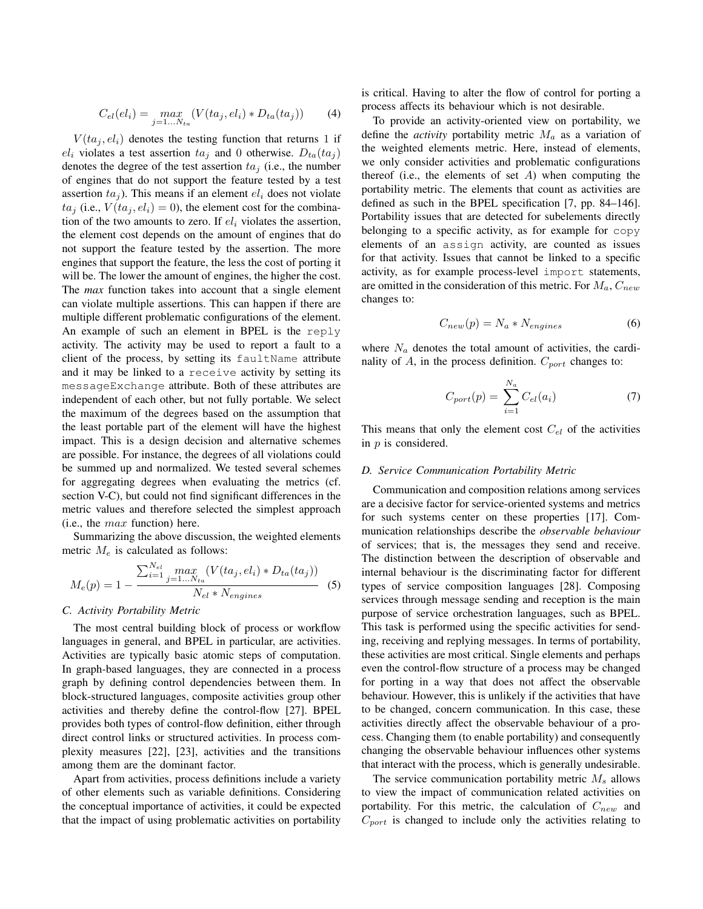$$
C_{el}(el_i) = \max_{j=1...N_{ta}} (V(ta_j, el_i) * D_{ta}(ta_j))
$$
 (4)

 $V(ta_i, el_i)$  denotes the testing function that returns 1 if  $el_i$  violates a test assertion  $ta_i$  and 0 otherwise.  $D_{ta}(ta_i)$ denotes the degree of the test assertion  $ta_j$  (i.e., the number of engines that do not support the feature tested by a test assertion  $ta<sub>i</sub>$ ). This means if an element  $el<sub>i</sub>$  does not violate  $ta_i$  (i.e.,  $V(ta_i, el_i) = 0$ ), the element cost for the combination of the two amounts to zero. If  $el_i$  violates the assertion, the element cost depends on the amount of engines that do not support the feature tested by the assertion. The more engines that support the feature, the less the cost of porting it will be. The lower the amount of engines, the higher the cost. The *max* function takes into account that a single element can violate multiple assertions. This can happen if there are multiple different problematic configurations of the element. An example of such an element in BPEL is the reply activity. The activity may be used to report a fault to a client of the process, by setting its faultName attribute and it may be linked to a receive activity by setting its messageExchange attribute. Both of these attributes are independent of each other, but not fully portable. We select the maximum of the degrees based on the assumption that the least portable part of the element will have the highest impact. This is a design decision and alternative schemes are possible. For instance, the degrees of all violations could be summed up and normalized. We tested several schemes for aggregating degrees when evaluating the metrics (cf. section V-C), but could not find significant differences in the metric values and therefore selected the simplest approach (i.e., the max function) here.

Summarizing the above discussion, the weighted elements metric  $M_e$  is calculated as follows:

$$
M_e(p) = 1 - \frac{\sum_{i=1}^{N_{el}} \max_{j=1...N_{ta}} (V(ta_j, el_i) * D_{ta}(ta_j))}{N_{el} * N_{engines}}
$$
 (5)

## *C. Activity Portability Metric*

The most central building block of process or workflow languages in general, and BPEL in particular, are activities. Activities are typically basic atomic steps of computation. In graph-based languages, they are connected in a process graph by defining control dependencies between them. In block-structured languages, composite activities group other activities and thereby define the control-flow [27]. BPEL provides both types of control-flow definition, either through direct control links or structured activities. In process complexity measures [22], [23], activities and the transitions among them are the dominant factor.

Apart from activities, process definitions include a variety of other elements such as variable definitions. Considering the conceptual importance of activities, it could be expected that the impact of using problematic activities on portability is critical. Having to alter the flow of control for porting a process affects its behaviour which is not desirable.

To provide an activity-oriented view on portability, we define the *activity* portability metric  $M_a$  as a variation of the weighted elements metric. Here, instead of elements, we only consider activities and problematic configurations thereof (i.e., the elements of set  $A$ ) when computing the portability metric. The elements that count as activities are defined as such in the BPEL specification [7, pp. 84–146]. Portability issues that are detected for subelements directly belonging to a specific activity, as for example for copy elements of an assign activity, are counted as issues for that activity. Issues that cannot be linked to a specific activity, as for example process-level import statements, are omitted in the consideration of this metric. For  $M_a$ ,  $C_{new}$ changes to:

$$
C_{new}(p) = N_a * N_{engines} \tag{6}
$$

where  $N_a$  denotes the total amount of activities, the cardinality of A, in the process definition.  $C_{port}$  changes to:

$$
C_{port}(p) = \sum_{i=1}^{N_a} C_{el}(a_i)
$$
 (7)

This means that only the element cost  $C_{el}$  of the activities in p is considered.

# *D. Service Communication Portability Metric*

Communication and composition relations among services are a decisive factor for service-oriented systems and metrics for such systems center on these properties [17]. Communication relationships describe the *observable behaviour* of services; that is, the messages they send and receive. The distinction between the description of observable and internal behaviour is the discriminating factor for different types of service composition languages [28]. Composing services through message sending and reception is the main purpose of service orchestration languages, such as BPEL. This task is performed using the specific activities for sending, receiving and replying messages. In terms of portability, these activities are most critical. Single elements and perhaps even the control-flow structure of a process may be changed for porting in a way that does not affect the observable behaviour. However, this is unlikely if the activities that have to be changed, concern communication. In this case, these activities directly affect the observable behaviour of a process. Changing them (to enable portability) and consequently changing the observable behaviour influences other systems that interact with the process, which is generally undesirable.

The service communication portability metric  $M_s$  allows to view the impact of communication related activities on portability. For this metric, the calculation of  $C_{new}$  and  $C_{port}$  is changed to include only the activities relating to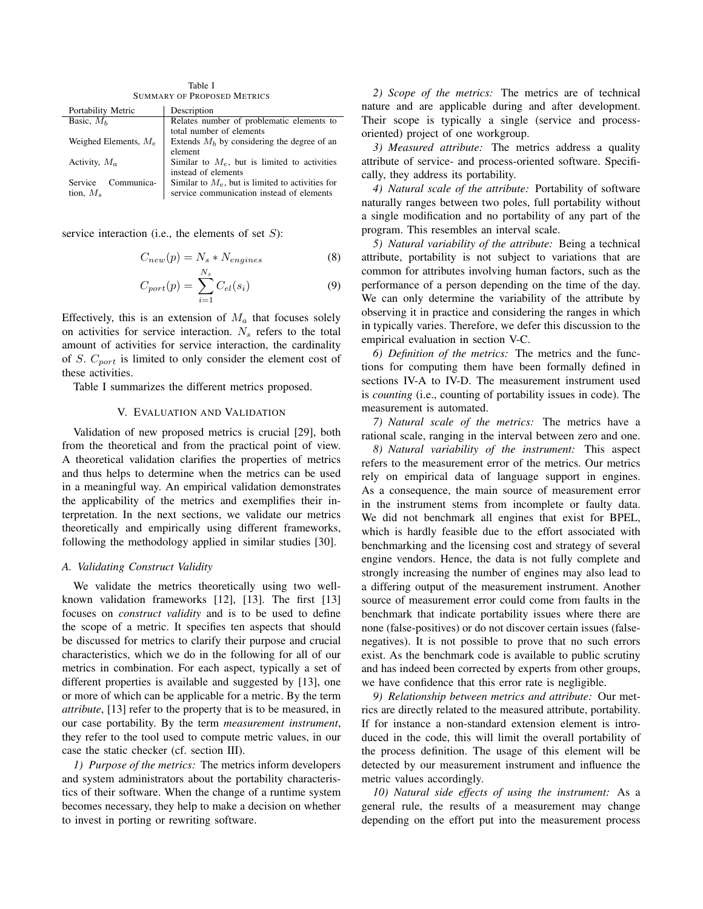Table I SUMMARY OF PROPOSED METRICS

| Description                                                             |  |  |  |  |  |
|-------------------------------------------------------------------------|--|--|--|--|--|
| Relates number of problematic elements to                               |  |  |  |  |  |
| total number of elements                                                |  |  |  |  |  |
| Weighed Elements, $M_e$<br>Extends $Mb$ by considering the degree of an |  |  |  |  |  |
| element                                                                 |  |  |  |  |  |
| Similar to $M_e$ , but is limited to activities                         |  |  |  |  |  |
| instead of elements                                                     |  |  |  |  |  |
| Similar to $M_e$ , but is limited to activities for                     |  |  |  |  |  |
| service communication instead of elements                               |  |  |  |  |  |
|                                                                         |  |  |  |  |  |

service interaction (i.e., the elements of set  $S$ ):

$$
C_{new}(p) = N_s * N_{engines}
$$
 (8)

$$
C_{port}(p) = \sum_{i=1}^{N_s} C_{el}(s_i)
$$
\n(9)

Effectively, this is an extension of  $M_a$  that focuses solely on activities for service interaction.  $N_s$  refers to the total amount of activities for service interaction, the cardinality of S.  $C_{port}$  is limited to only consider the element cost of these activities.

Table I summarizes the different metrics proposed.

## V. EVALUATION AND VALIDATION

Validation of new proposed metrics is crucial [29], both from the theoretical and from the practical point of view. A theoretical validation clarifies the properties of metrics and thus helps to determine when the metrics can be used in a meaningful way. An empirical validation demonstrates the applicability of the metrics and exemplifies their interpretation. In the next sections, we validate our metrics theoretically and empirically using different frameworks, following the methodology applied in similar studies [30].

## *A. Validating Construct Validity*

We validate the metrics theoretically using two wellknown validation frameworks [12], [13]. The first [13] focuses on *construct validity* and is to be used to define the scope of a metric. It specifies ten aspects that should be discussed for metrics to clarify their purpose and crucial characteristics, which we do in the following for all of our metrics in combination. For each aspect, typically a set of different properties is available and suggested by [13], one or more of which can be applicable for a metric. By the term *attribute*, [13] refer to the property that is to be measured, in our case portability. By the term *measurement instrument*, they refer to the tool used to compute metric values, in our case the static checker (cf. section III).

*1) Purpose of the metrics:* The metrics inform developers and system administrators about the portability characteristics of their software. When the change of a runtime system becomes necessary, they help to make a decision on whether to invest in porting or rewriting software.

*2) Scope of the metrics:* The metrics are of technical nature and are applicable during and after development. Their scope is typically a single (service and processoriented) project of one workgroup.

*3) Measured attribute:* The metrics address a quality attribute of service- and process-oriented software. Specifically, they address its portability.

*4) Natural scale of the attribute:* Portability of software naturally ranges between two poles, full portability without a single modification and no portability of any part of the program. This resembles an interval scale.

*5) Natural variability of the attribute:* Being a technical attribute, portability is not subject to variations that are common for attributes involving human factors, such as the performance of a person depending on the time of the day. We can only determine the variability of the attribute by observing it in practice and considering the ranges in which in typically varies. Therefore, we defer this discussion to the empirical evaluation in section V-C.

*6) Definition of the metrics:* The metrics and the functions for computing them have been formally defined in sections IV-A to IV-D. The measurement instrument used is *counting* (i.e., counting of portability issues in code). The measurement is automated.

*7) Natural scale of the metrics:* The metrics have a rational scale, ranging in the interval between zero and one.

*8) Natural variability of the instrument:* This aspect refers to the measurement error of the metrics. Our metrics rely on empirical data of language support in engines. As a consequence, the main source of measurement error in the instrument stems from incomplete or faulty data. We did not benchmark all engines that exist for BPEL, which is hardly feasible due to the effort associated with benchmarking and the licensing cost and strategy of several engine vendors. Hence, the data is not fully complete and strongly increasing the number of engines may also lead to a differing output of the measurement instrument. Another source of measurement error could come from faults in the benchmark that indicate portability issues where there are none (false-positives) or do not discover certain issues (falsenegatives). It is not possible to prove that no such errors exist. As the benchmark code is available to public scrutiny and has indeed been corrected by experts from other groups, we have confidence that this error rate is negligible.

*9) Relationship between metrics and attribute:* Our metrics are directly related to the measured attribute, portability. If for instance a non-standard extension element is introduced in the code, this will limit the overall portability of the process definition. The usage of this element will be detected by our measurement instrument and influence the metric values accordingly.

*10) Natural side effects of using the instrument:* As a general rule, the results of a measurement may change depending on the effort put into the measurement process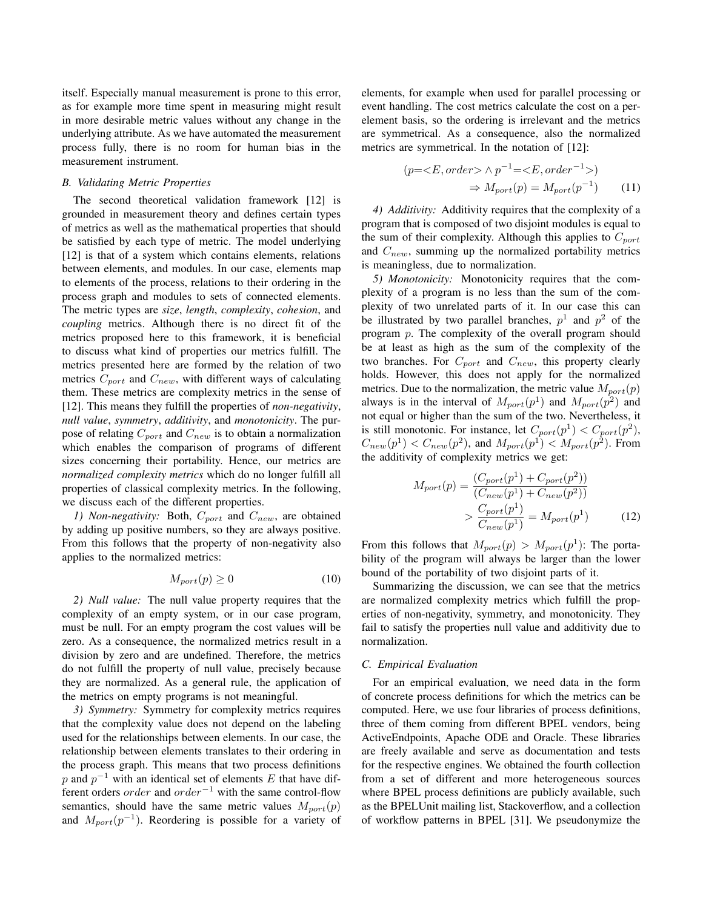itself. Especially manual measurement is prone to this error, as for example more time spent in measuring might result in more desirable metric values without any change in the underlying attribute. As we have automated the measurement process fully, there is no room for human bias in the measurement instrument.

#### *B. Validating Metric Properties*

The second theoretical validation framework [12] is grounded in measurement theory and defines certain types of metrics as well as the mathematical properties that should be satisfied by each type of metric. The model underlying [12] is that of a system which contains elements, relations between elements, and modules. In our case, elements map to elements of the process, relations to their ordering in the process graph and modules to sets of connected elements. The metric types are *size*, *length*, *complexity*, *cohesion*, and *coupling* metrics. Although there is no direct fit of the metrics proposed here to this framework, it is beneficial to discuss what kind of properties our metrics fulfill. The metrics presented here are formed by the relation of two metrics  $C_{port}$  and  $C_{new}$ , with different ways of calculating them. These metrics are complexity metrics in the sense of [12]. This means they fulfill the properties of *non-negativity*, *null value*, *symmetry*, *additivity*, and *monotonicity*. The purpose of relating  $C_{port}$  and  $C_{new}$  is to obtain a normalization which enables the comparison of programs of different sizes concerning their portability. Hence, our metrics are *normalized complexity metrics* which do no longer fulfill all properties of classical complexity metrics. In the following, we discuss each of the different properties.

*1) Non-negativity:* Both,  $C_{port}$  and  $C_{new}$ , are obtained by adding up positive numbers, so they are always positive. From this follows that the property of non-negativity also applies to the normalized metrics:

$$
M_{port}(p) \ge 0 \tag{10}
$$

*2) Null value:* The null value property requires that the complexity of an empty system, or in our case program, must be null. For an empty program the cost values will be zero. As a consequence, the normalized metrics result in a division by zero and are undefined. Therefore, the metrics do not fulfill the property of null value, precisely because they are normalized. As a general rule, the application of the metrics on empty programs is not meaningful.

*3) Symmetry:* Symmetry for complexity metrics requires that the complexity value does not depend on the labeling used for the relationships between elements. In our case, the relationship between elements translates to their ordering in the process graph. This means that two process definitions p and  $p^{-1}$  with an identical set of elements E that have different orders *order* and  $order^{-1}$  with the same control-flow semantics, should have the same metric values  $M_{port}(p)$ and  $M_{port}(p^{-1})$ . Reordering is possible for a variety of elements, for example when used for parallel processing or event handling. The cost metrics calculate the cost on a perelement basis, so the ordering is irrelevant and the metrics are symmetrical. As a consequence, also the normalized metrics are symmetrical. In the notation of [12]:

$$
(p= \land p^{-1}=)
$$
  

$$
\Rightarrow M_{port}(p) = M_{port}(p^{-1})
$$
 (11)

*4) Additivity:* Additivity requires that the complexity of a program that is composed of two disjoint modules is equal to the sum of their complexity. Although this applies to  $C_{port}$ and  $C_{new}$ , summing up the normalized portability metrics is meaningless, due to normalization.

*5) Monotonicity:* Monotonicity requires that the complexity of a program is no less than the sum of the complexity of two unrelated parts of it. In our case this can be illustrated by two parallel branches,  $p<sup>1</sup>$  and  $p<sup>2</sup>$  of the program p. The complexity of the overall program should be at least as high as the sum of the complexity of the two branches. For  $C_{port}$  and  $C_{new}$ , this property clearly holds. However, this does not apply for the normalized metrics. Due to the normalization, the metric value  $M_{port}(p)$ always is in the interval of  $M_{port}(p<sup>1</sup>)$  and  $M_{port}(p<sup>2</sup>)$  and not equal or higher than the sum of the two. Nevertheless, it is still monotonic. For instance, let  $C_{port}(p^1) < C_{port}(p^2)$ ,  $C_{new}(p^{1}) < C_{new}(p^{2})$ , and  $M_{port}(p^{1}) < M_{port}(p^{2})$ . From the additivity of complexity metrics we get:

$$
M_{port}(p) = \frac{(C_{port}(p^1) + C_{port}(p^2))}{(C_{new}(p^1) + C_{new}(p^2))}
$$

$$
> \frac{C_{port}(p^1)}{C_{new}(p^1)} = M_{port}(p^1)
$$
(12)

From this follows that  $M_{port}(p) > M_{port}(p^1)$ : The portability of the program will always be larger than the lower bound of the portability of two disjoint parts of it.

Summarizing the discussion, we can see that the metrics are normalized complexity metrics which fulfill the properties of non-negativity, symmetry, and monotonicity. They fail to satisfy the properties null value and additivity due to normalization.

## *C. Empirical Evaluation*

For an empirical evaluation, we need data in the form of concrete process definitions for which the metrics can be computed. Here, we use four libraries of process definitions, three of them coming from different BPEL vendors, being ActiveEndpoints, Apache ODE and Oracle. These libraries are freely available and serve as documentation and tests for the respective engines. We obtained the fourth collection from a set of different and more heterogeneous sources where BPEL process definitions are publicly available, such as the BPELUnit mailing list, Stackoverflow, and a collection of workflow patterns in BPEL [31]. We pseudonymize the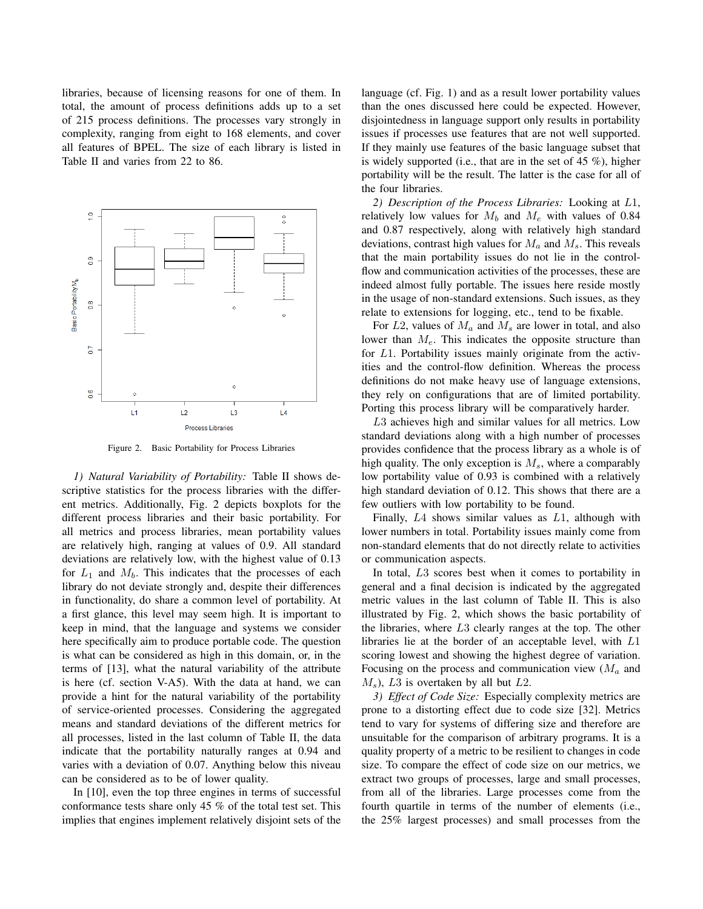libraries, because of licensing reasons for one of them. In total, the amount of process definitions adds up to a set of 215 process definitions. The processes vary strongly in complexity, ranging from eight to 168 elements, and cover all features of BPEL. The size of each library is listed in Table II and varies from 22 to 86.



Figure 2. Basic Portability for Process Libraries

*1) Natural Variability of Portability:* Table II shows descriptive statistics for the process libraries with the different metrics. Additionally, Fig. 2 depicts boxplots for the different process libraries and their basic portability. For all metrics and process libraries, mean portability values are relatively high, ranging at values of 0.9. All standard deviations are relatively low, with the highest value of 0.13 for  $L_1$  and  $M_b$ . This indicates that the processes of each library do not deviate strongly and, despite their differences in functionality, do share a common level of portability. At a first glance, this level may seem high. It is important to keep in mind, that the language and systems we consider here specifically aim to produce portable code. The question is what can be considered as high in this domain, or, in the terms of [13], what the natural variability of the attribute is here (cf. section V-A5). With the data at hand, we can provide a hint for the natural variability of the portability of service-oriented processes. Considering the aggregated means and standard deviations of the different metrics for all processes, listed in the last column of Table II, the data indicate that the portability naturally ranges at 0.94 and varies with a deviation of 0.07. Anything below this niveau can be considered as to be of lower quality.

In [10], even the top three engines in terms of successful conformance tests share only 45 % of the total test set. This implies that engines implement relatively disjoint sets of the language (cf. Fig. 1) and as a result lower portability values than the ones discussed here could be expected. However, disjointedness in language support only results in portability issues if processes use features that are not well supported. If they mainly use features of the basic language subset that is widely supported (i.e., that are in the set of 45 %), higher portability will be the result. The latter is the case for all of the four libraries.

*2) Description of the Process Libraries:* Looking at L1, relatively low values for  $M_b$  and  $M_e$  with values of 0.84 and 0.87 respectively, along with relatively high standard deviations, contrast high values for  $M_a$  and  $M_s$ . This reveals that the main portability issues do not lie in the controlflow and communication activities of the processes, these are indeed almost fully portable. The issues here reside mostly in the usage of non-standard extensions. Such issues, as they relate to extensions for logging, etc., tend to be fixable.

For  $L2$ , values of  $M_a$  and  $M_s$  are lower in total, and also lower than  $M_e$ . This indicates the opposite structure than for L1. Portability issues mainly originate from the activities and the control-flow definition. Whereas the process definitions do not make heavy use of language extensions, they rely on configurations that are of limited portability. Porting this process library will be comparatively harder.

L3 achieves high and similar values for all metrics. Low standard deviations along with a high number of processes provides confidence that the process library as a whole is of high quality. The only exception is  $M_s$ , where a comparably low portability value of 0.93 is combined with a relatively high standard deviation of 0.12. This shows that there are a few outliers with low portability to be found.

Finally, L4 shows similar values as L1, although with lower numbers in total. Portability issues mainly come from non-standard elements that do not directly relate to activities or communication aspects.

In total, L3 scores best when it comes to portability in general and a final decision is indicated by the aggregated metric values in the last column of Table II. This is also illustrated by Fig. 2, which shows the basic portability of the libraries, where L3 clearly ranges at the top. The other libraries lie at the border of an acceptable level, with L1 scoring lowest and showing the highest degree of variation. Focusing on the process and communication view  $(M_a$  and  $M_s$ ), L3 is overtaken by all but L2.

*3) Effect of Code Size:* Especially complexity metrics are prone to a distorting effect due to code size [32]. Metrics tend to vary for systems of differing size and therefore are unsuitable for the comparison of arbitrary programs. It is a quality property of a metric to be resilient to changes in code size. To compare the effect of code size on our metrics, we extract two groups of processes, large and small processes, from all of the libraries. Large processes come from the fourth quartile in terms of the number of elements (i.e., the 25% largest processes) and small processes from the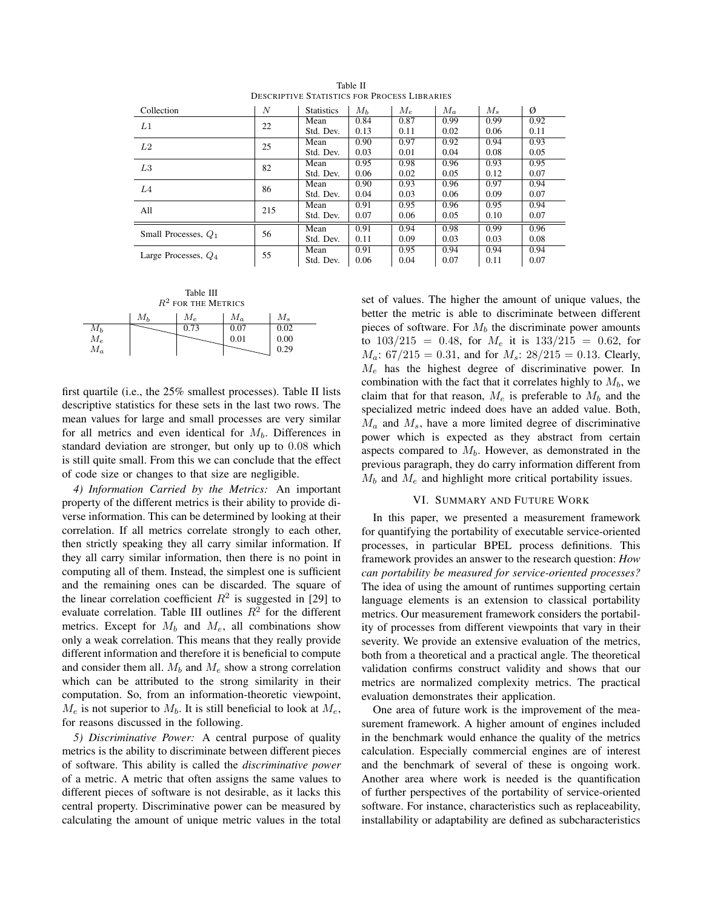| Collection             | N           | <b>Statistics</b> | $M_h$ | $M_e$ | $M_a$ | $M_{s}$ | Ø    |
|------------------------|-------------|-------------------|-------|-------|-------|---------|------|
| L1                     | 22          | Mean              | 0.84  | 0.87  | 0.99  | 0.99    | 0.92 |
|                        |             | Std. Dev.         | 0.13  | 0.11  | 0.02  | 0.06    | 0.11 |
| L2                     | 25          | Mean              | 0.90  | 0.97  | 0.92  | 0.94    | 0.93 |
|                        |             | Std. Dev.         | 0.03  | 0.01  | 0.04  | 0.08    | 0.05 |
| L <sub>3</sub>         | 82          | Mean              | 0.95  | 0.98  | 0.96  | 0.93    | 0.95 |
|                        |             | Std. Dev.         | 0.06  | 0.02  | 0.05  | 0.12    | 0.07 |
| L4                     | 86          | Mean              | 0.90  | 0.93  | 0.96  | 0.97    | 0.94 |
|                        |             | Std. Dev.         | 0.04  | 0.03  | 0.06  | 0.09    | 0.07 |
| All                    | Mean<br>215 |                   | 0.91  | 0.95  | 0.96  | 0.95    | 0.94 |
|                        |             | Std. Dev.         | 0.07  | 0.06  | 0.05  | 0.10    | 0.07 |
| Small Processes, $Q_1$ | 56          | Mean              | 0.91  | 0.94  | 0.98  | 0.99    | 0.96 |
|                        |             | Std. Dev.         | 0.11  | 0.09  | 0.03  | 0.03    | 0.08 |
| Large Processes, $Q_4$ | 55          | Mean              | 0.91  | 0.95  | 0.94  | 0.94    | 0.94 |
|                        |             | Std. Dev.         | 0.06  | 0.04  | 0.07  | 0.11    | 0.07 |

Table II DESCRIPTIVE STATISTICS FOR PROCESS LIBRARIES

Table III  $R^2$  for the Metrics  $M_b$   $M_e$   $M_a$   $M_s$  $M_b$  0.73 0.07 0.02  $M_e$   $\sim$  0.01 0.00  $M_a$  | | | 0.29

first quartile (i.e., the 25% smallest processes). Table II lists descriptive statistics for these sets in the last two rows. The mean values for large and small processes are very similar for all metrics and even identical for  $M_b$ . Differences in standard deviation are stronger, but only up to 0.08 which is still quite small. From this we can conclude that the effect of code size or changes to that size are negligible.

*4) Information Carried by the Metrics:* An important property of the different metrics is their ability to provide diverse information. This can be determined by looking at their correlation. If all metrics correlate strongly to each other, then strictly speaking they all carry similar information. If they all carry similar information, then there is no point in computing all of them. Instead, the simplest one is sufficient and the remaining ones can be discarded. The square of the linear correlation coefficient  $R^2$  is suggested in [29] to evaluate correlation. Table III outlines  $R^2$  for the different metrics. Except for  $M_b$  and  $M_e$ , all combinations show only a weak correlation. This means that they really provide different information and therefore it is beneficial to compute and consider them all.  $M_b$  and  $M_e$  show a strong correlation which can be attributed to the strong similarity in their computation. So, from an information-theoretic viewpoint,  $M_e$  is not superior to  $M_b$ . It is still beneficial to look at  $M_e$ , for reasons discussed in the following.

*5) Discriminative Power:* A central purpose of quality metrics is the ability to discriminate between different pieces of software. This ability is called the *discriminative power* of a metric. A metric that often assigns the same values to different pieces of software is not desirable, as it lacks this central property. Discriminative power can be measured by calculating the amount of unique metric values in the total set of values. The higher the amount of unique values, the better the metric is able to discriminate between different pieces of software. For  $M_b$  the discriminate power amounts to  $103/215 = 0.48$ , for  $M_e$  it is  $133/215 = 0.62$ , for  $M_a$ : 67/215 = 0.31, and for  $M_s$ : 28/215 = 0.13. Clearly,  $M_e$  has the highest degree of discriminative power. In combination with the fact that it correlates highly to  $M_b$ , we claim that for that reason,  $M_e$  is preferable to  $M_b$  and the specialized metric indeed does have an added value. Both,  $M_a$  and  $M_s$ , have a more limited degree of discriminative power which is expected as they abstract from certain aspects compared to  $M<sub>b</sub>$ . However, as demonstrated in the previous paragraph, they do carry information different from  $M_b$  and  $M_e$  and highlight more critical portability issues.

## VI. SUMMARY AND FUTURE WORK

In this paper, we presented a measurement framework for quantifying the portability of executable service-oriented processes, in particular BPEL process definitions. This framework provides an answer to the research question: *How can portability be measured for service-oriented processes?* The idea of using the amount of runtimes supporting certain language elements is an extension to classical portability metrics. Our measurement framework considers the portability of processes from different viewpoints that vary in their severity. We provide an extensive evaluation of the metrics, both from a theoretical and a practical angle. The theoretical validation confirms construct validity and shows that our metrics are normalized complexity metrics. The practical evaluation demonstrates their application.

One area of future work is the improvement of the measurement framework. A higher amount of engines included in the benchmark would enhance the quality of the metrics calculation. Especially commercial engines are of interest and the benchmark of several of these is ongoing work. Another area where work is needed is the quantification of further perspectives of the portability of service-oriented software. For instance, characteristics such as replaceability, installability or adaptability are defined as subcharacteristics